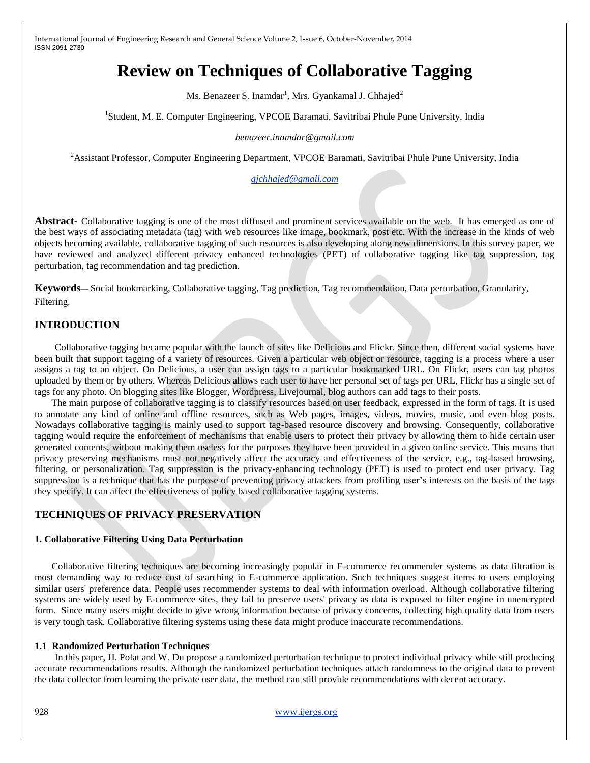# **Review on Techniques of Collaborative Tagging**

Ms. Benazeer S. Inamdar<sup>1</sup>, Mrs. Gyankamal J. Chhajed<sup>2</sup>

<sup>1</sup>Student, M. E. Computer Engineering, VPCOE Baramati, Savitribai Phule Pune University, India

#### *benazeer.inamdar@gmail.com*

<sup>2</sup>Assistant Professor, Computer Engineering Department, VPCOE Baramati, Savitribai Phule Pune University, India

*[gjchhajed@gmail.com](mailto:gjchhajed@gmail.com)*

**Abstract-** Collaborative tagging is one of the most diffused and prominent services available on the web. It has emerged as one of the best ways of associating metadata (tag) with web resources like image, bookmark, post etc. With the increase in the kinds of web objects becoming available, collaborative tagging of such resources is also developing along new dimensions. In this survey paper, we have reviewed and analyzed different privacy enhanced technologies (PET) of collaborative tagging like tag suppression, tag perturbation, tag recommendation and tag prediction.

**Keywords**— Social bookmarking, Collaborative tagging, Tag prediction, Tag recommendation, Data perturbation, Granularity, Filtering.

# **INTRODUCTION**

 Collaborative tagging became popular with the launch of sites like Delicious and Flickr. Since then, different social systems have been built that support tagging of a variety of resources. Given a particular web object or resource, tagging is a process where a user assigns a tag to an object. On Delicious, a user can assign tags to a particular bookmarked URL. On Flickr, users can tag photos uploaded by them or by others. Whereas Delicious allows each user to have her personal set of tags per URL, Flickr has a single set of tags for any photo. On blogging sites like Blogger, Wordpress, Livejournal, blog authors can add tags to their posts.

 The main purpose of collaborative tagging is to classify resources based on user feedback, expressed in the form of tags. It is used to annotate any kind of online and offline resources, such as Web pages, images, videos, movies, music, and even blog posts. Nowadays collaborative tagging is mainly used to support tag-based resource discovery and browsing. Consequently, collaborative tagging would require the enforcement of mechanisms that enable users to protect their privacy by allowing them to hide certain user generated contents, without making them useless for the purposes they have been provided in a given online service. This means that privacy preserving mechanisms must not negatively affect the accuracy and effectiveness of the service, e.g., tag-based browsing, filtering, or personalization. Tag suppression is the privacy-enhancing technology (PET) is used to protect end user privacy. Tag suppression is a technique that has the purpose of preventing privacy attackers from profiling user's interests on the basis of the tags they specify. It can affect the effectiveness of policy based collaborative tagging systems.

# **TECHNIQUES OF PRIVACY PRESERVATION**

## **1. Collaborative Filtering Using Data Perturbation**

 Collaborative filtering techniques are becoming increasingly popular in E-commerce recommender systems as data filtration is most demanding way to reduce cost of searching in E-commerce application. Such techniques suggest items to users employing similar users' preference data. People uses recommender systems to deal with information overload. Although collaborative filtering systems are widely used by E-commerce sites, they fail to preserve users' privacy as data is exposed to filter engine in unencrypted form. Since many users might decide to give wrong information because of privacy concerns, collecting high quality data from users is very tough task. Collaborative filtering systems using these data might produce inaccurate recommendations.

## **1.1 Randomized Perturbation Techniques**

In this paper, H. Polat and W. Du propose a randomized perturbation technique to protect individual privacy while still producing accurate recommendations results. Although the randomized perturbation techniques attach randomness to the original data to prevent the data collector from learning the private user data, the method can still provide recommendations with decent accuracy.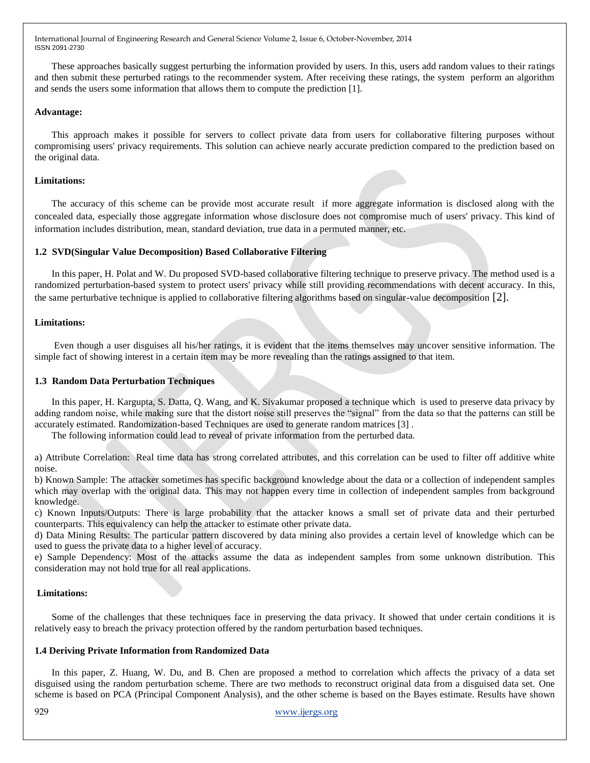These approaches basically suggest perturbing the information provided by users. In this, users add random values to their ratings and then submit these perturbed ratings to the recommender system. After receiving these ratings, the system perform an algorithm and sends the users some information that allows them to compute the prediction [1].

#### **Advantage:**

 This approach makes it possible for servers to collect private data from users for collaborative filtering purposes without compromising users' privacy requirements. This solution can achieve nearly accurate prediction compared to the prediction based on the original data.

#### **Limitations:**

 The accuracy of this scheme can be provide most accurate result if more aggregate information is disclosed along with the concealed data, especially those aggregate information whose disclosure does not compromise much of users' privacy. This kind of information includes distribution, mean, standard deviation, true data in a permuted manner, etc.

## **1.2 SVD(Singular Value Decomposition) Based Collaborative Filtering**

 In this paper, H. Polat and W. Du proposed SVD-based collaborative filtering technique to preserve privacy. The method used is a randomized perturbation-based system to protect users' privacy while still providing recommendations with decent accuracy. In this, the same perturbative technique is applied to collaborative filtering algorithms based on singular-value decomposition [2].

#### **Limitations:**

 Even though a user disguises all his/her ratings, it is evident that the items themselves may uncover sensitive information. The simple fact of showing interest in a certain item may be more revealing than the ratings assigned to that item.

#### **1.3 Random Data Perturbation Techniques**

 In this paper, H. Kargupta, S. Datta, Q. Wang, and K. Sivakumar proposed a technique which is used to preserve data privacy by adding random noise, while making sure that the distort noise still preserves the "signal" from the data so that the patterns can still be accurately estimated. Randomization-based Techniques are used to generate random matrices [3] .

The following information could lead to reveal of private information from the perturbed data.

a) Attribute Correlation: Real time data has strong correlated attributes, and this correlation can be used to filter off additive white noise.

b) Known Sample: The attacker sometimes has specific background knowledge about the data or a collection of independent samples which may overlap with the original data. This may not happen every time in collection of independent samples from background knowledge.

c) Known Inputs/Outputs: There is large probability that the attacker knows a small set of private data and their perturbed counterparts. This equivalency can help the attacker to estimate other private data.

d) Data Mining Results: The particular pattern discovered by data mining also provides a certain level of knowledge which can be used to guess the private data to a higher level of accuracy.

e) Sample Dependency: Most of the attacks assume the data as independent samples from some unknown distribution. This consideration may not hold true for all real applications.

#### **Limitations:**

 Some of the challenges that these techniques face in preserving the data privacy. It showed that under certain conditions it is relatively easy to breach the privacy protection offered by the random perturbation based techniques.

#### **1.4 Deriving Private Information from Randomized Data**

 In this paper, Z. Huang, W. Du, and B. Chen are proposed a method to correlation which affects the privacy of a data set disguised using the random perturbation scheme. There are two methods to reconstruct original data from a disguised data set. One scheme is based on PCA (Principal Component Analysis), and the other scheme is based on the Bayes estimate. Results have shown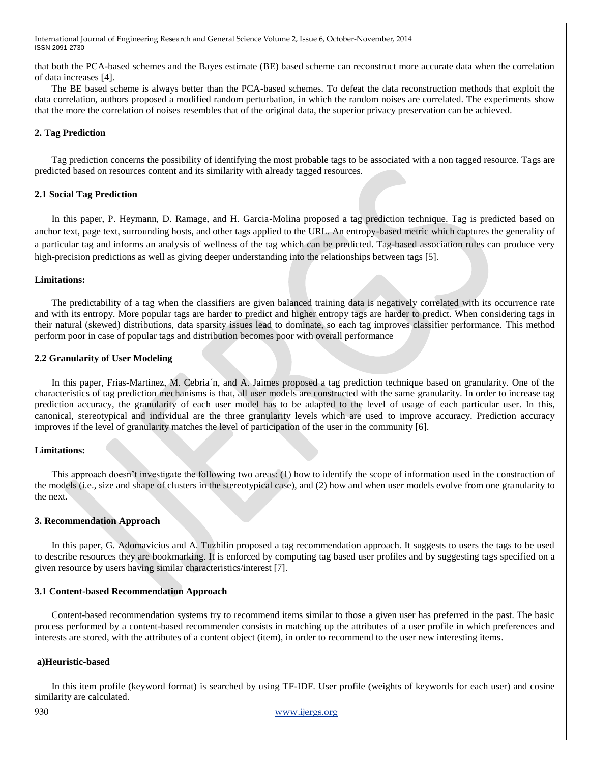that both the PCA-based schemes and the Bayes estimate (BE) based scheme can reconstruct more accurate data when the correlation of data increases [4].

 The BE based scheme is always better than the PCA-based schemes. To defeat the data reconstruction methods that exploit the data correlation, authors proposed a modified random perturbation, in which the random noises are correlated. The experiments show that the more the correlation of noises resembles that of the original data, the superior privacy preservation can be achieved.

## **2. Tag Prediction**

 Tag prediction concerns the possibility of identifying the most probable tags to be associated with a non tagged resource. Tags are predicted based on resources content and its similarity with already tagged resources.

## **2.1 Social Tag Prediction**

 In this paper, P. Heymann, D. Ramage, and H. Garcia-Molina proposed a tag prediction technique. Tag is predicted based on anchor text, page text, surrounding hosts, and other tags applied to the URL. An entropy-based metric which captures the generality of a particular tag and informs an analysis of wellness of the tag which can be predicted. Tag-based association rules can produce very high-precision predictions as well as giving deeper understanding into the relationships between tags [5].

#### **Limitations:**

 The predictability of a tag when the classifiers are given balanced training data is negatively correlated with its occurrence rate and with its entropy. More popular tags are harder to predict and higher entropy tags are harder to predict. When considering tags in their natural (skewed) distributions, data sparsity issues lead to dominate, so each tag improves classifier performance. This method perform poor in case of popular tags and distribution becomes poor with overall performance

## **2.2 Granularity of User Modeling**

 In this paper, Frias-Martinez, M. Cebria´n, and A. Jaimes proposed a tag prediction technique based on granularity. One of the characteristics of tag prediction mechanisms is that, all user models are constructed with the same granularity. In order to increase tag prediction accuracy, the granularity of each user model has to be adapted to the level of usage of each particular user. In this, canonical, stereotypical and individual are the three granularity levels which are used to improve accuracy. Prediction accuracy improves if the level of granularity matches the level of participation of the user in the community [6].

#### **Limitations:**

 This approach doesn't investigate the following two areas: (1) how to identify the scope of information used in the construction of the models (i.e., size and shape of clusters in the stereotypical case), and (2) how and when user models evolve from one granularity to the next.

## **3. Recommendation Approach**

 In this paper, G. Adomavicius and A. Tuzhilin proposed a tag recommendation approach. It suggests to users the tags to be used to describe resources they are bookmarking. It is enforced by computing tag based user profiles and by suggesting tags specified on a given resource by users having similar characteristics/interest [7].

## **3.1 Content-based Recommendation Approach**

 Content-based recommendation systems try to recommend items similar to those a given user has preferred in the past. The basic process performed by a content-based recommender consists in matching up the attributes of a user profile in which preferences and interests are stored, with the attributes of a content object (item), in order to recommend to the user new interesting items.

#### **a)Heuristic-based**

 In this item profile (keyword format) is searched by using TF-IDF. User profile (weights of keywords for each user) and cosine similarity are calculated.

930 www.ijergs.org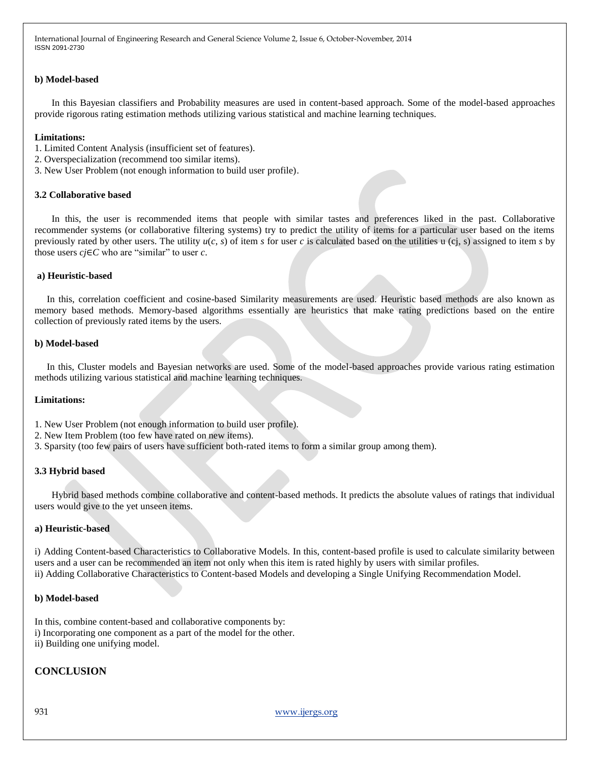## **b) Model-based**

 In this Bayesian classifiers and Probability measures are used in content-based approach. Some of the model-based approaches provide rigorous rating estimation methods utilizing various statistical and machine learning techniques.

#### **Limitations:**

- 1. Limited Content Analysis (insufficient set of features).
- 2. Overspecialization (recommend too similar items).
- 3. New User Problem (not enough information to build user profile).

#### **3.2 Collaborative based**

 In this, the user is recommended items that people with similar tastes and preferences liked in the past. Collaborative recommender systems (or collaborative filtering systems) try to predict the utility of items for a particular user based on the items previously rated by other users. The utility  $u(c, s)$  of item *s* for user *c* is calculated based on the utilities u (ci, s) assigned to item *s* by those users *cj*∈*C* who are "similar" to user *c*.

#### **a) Heuristic-based**

 In this, correlation coefficient and cosine-based Similarity measurements are used. Heuristic based methods are also known as memory based methods. Memory-based algorithms essentially are heuristics that make rating predictions based on the entire collection of previously rated items by the users.

#### **b) Model-based**

 In this, Cluster models and Bayesian networks are used. Some of the model-based approaches provide various rating estimation methods utilizing various statistical and machine learning techniques.

#### **Limitations:**

- 1. New User Problem (not enough information to build user profile).
- 2. New Item Problem (too few have rated on new items).
- 3. Sparsity (too few pairs of users have sufficient both-rated items to form a similar group among them).

#### **3.3 Hybrid based**

 Hybrid based methods combine collaborative and content-based methods. It predicts the absolute values of ratings that individual users would give to the yet unseen items.

#### **a) Heuristic-based**

i) Adding Content-based Characteristics to Collaborative Models. In this, content-based profile is used to calculate similarity between users and a user can be recommended an item not only when this item is rated highly by users with similar profiles. ii) Adding Collaborative Characteristics to Content-based Models and developing a Single Unifying Recommendation Model.

#### **b) Model-based**

In this, combine content-based and collaborative components by: i) Incorporating one component as a part of the model for the other.

ii) Building one unifying model.

## **CONCLUSION**

931 www.ijergs.org